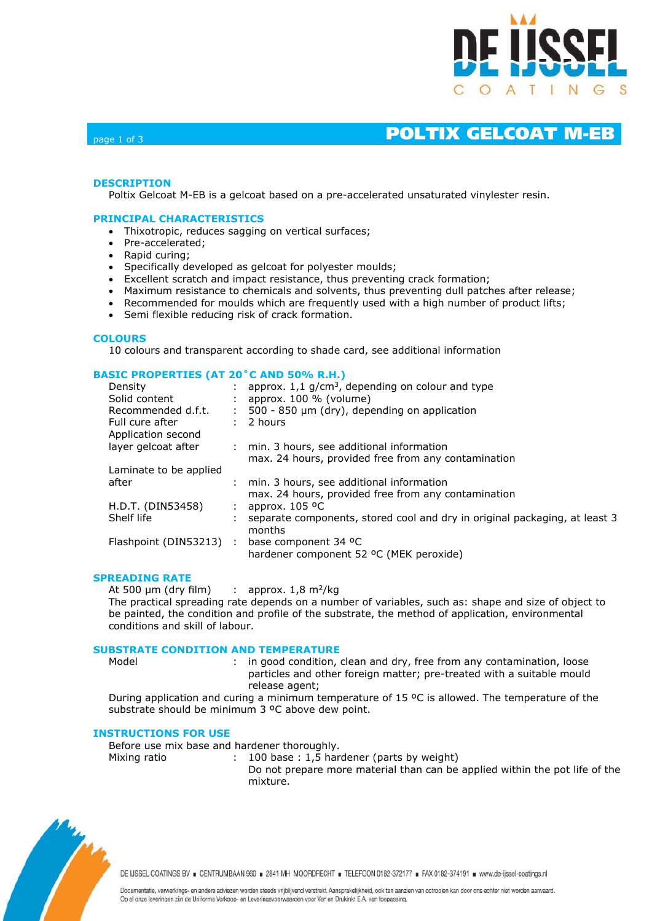

## page 1 of 3 **POLTIX GELCOAT M-EB**

### **DESCRIPTION**

Poltix Gelcoat M-EB is a gelcoat based on a pre-accelerated unsaturated vinylester resin.

#### **PRINCIPAL CHARACTERISTICS**

- Thixotropic, reduces sagging on vertical surfaces;
- Pre-accelerated;
- Rapid curing:
- Specifically developed as gelcoat for polyester moulds;
- Excellent scratch and impact resistance, thus preventing crack formation;
- Maximum resistance to chemicals and solvents, thus preventing dull patches after release;
- Recommended for moulds which are frequently used with a high number of product lifts;
- Semi flexible reducing risk of crack formation.

#### **COLOURS**

10 colours and transparent according to shade card, see additional information

### **BASIC PROPERTIES (AT 20˚C AND 50% R.H.)**

| Density                               |    | : approx. $1,1$ g/cm <sup>3</sup> , depending on colour and type           |
|---------------------------------------|----|----------------------------------------------------------------------------|
| Solid content                         |    | approx. $100 \%$ (volume)                                                  |
| Recommended d.f.t.                    | ÷. | 500 - 850 µm (dry), depending on application                               |
| Full cure after<br>Application second |    | 2 hours                                                                    |
| layer gelcoat after                   |    | : min. 3 hours, see additional information                                 |
|                                       |    | max. 24 hours, provided free from any contamination                        |
| Laminate to be applied                |    |                                                                            |
| after                                 |    | : min. 3 hours, see additional information                                 |
|                                       |    | max. 24 hours, provided free from any contamination                        |
| H.D.T. (DIN53458)                     |    | approx. $105 \text{°C}$                                                    |
| Shelf life                            |    | separate components, stored cool and dry in original packaging, at least 3 |
|                                       |    | months                                                                     |
| Flashpoint (DIN53213) :               |    | base component 34 °C                                                       |
|                                       |    | hardener component 52 °C (MEK peroxide)                                    |
|                                       |    |                                                                            |

### **SPREADING RATE**

At 500  $\mu$ m (dry film) : approx. 1,8 m<sup>2</sup>/kg

The practical spreading rate depends on a number of variables, such as: shape and size of object to be painted, the condition and profile of the substrate, the method of application, environmental conditions and skill of labour.

#### **SUBSTRATE CONDITION AND TEMPERATURE**

Model : in good condition, clean and dry, free from any contamination, loose particles and other foreign matter; pre-treated with a suitable mould release agent;

During application and curing a minimum temperature of 15 ºC is allowed. The temperature of the substrate should be minimum 3 ºC above dew point.

#### **INSTRUCTIONS FOR USE**

Before use mix base and hardener thoroughly.

Mixing ratio : 100 base : 1,5 hardener (parts by weight) Do not prepare more material than can be applied within the pot life of the mixture.



DE IJSSEL COATINGS BV E CENTRUMBAAN 960 = 2841 MH MOORDRECHT = TELEFOON 0182-372177 = FAX 0182-374191 = www.de-ijssel-coatings.nl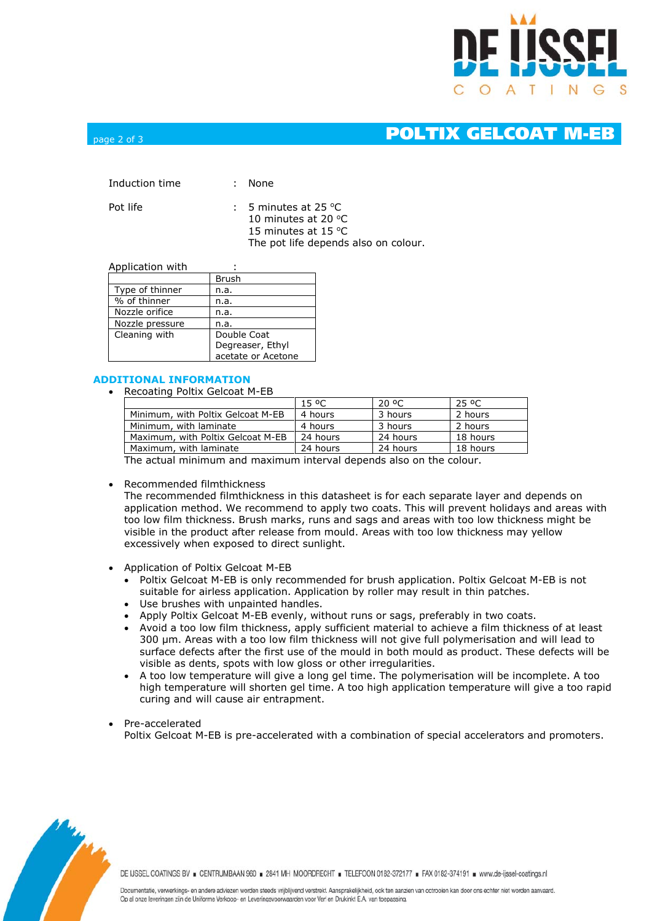

## page 2 of 3 **POLTIX GELCOAT M-EB**

Induction time : None

Pot life : 5 minutes at 25 °C 10 minutes at 20 °C 15 minutes at 15 °C The pot life depends also on colour.

Application with :

|                 | <b>Brush</b>       |  |  |
|-----------------|--------------------|--|--|
| Type of thinner | n.a.               |  |  |
| % of thinner    | n.a.               |  |  |
| Nozzle orifice  | n.a.               |  |  |
| Nozzle pressure | n.a.               |  |  |
| Cleaning with   | Double Coat        |  |  |
|                 | Degreaser, Ethyl   |  |  |
|                 | acetate or Acetone |  |  |

## **ADDITIONAL INFORMATION**

• Recoating Poltix Gelcoat M-EB

|                                                                    | 15 °C    | 20 ºC    | 25 °C    |  |
|--------------------------------------------------------------------|----------|----------|----------|--|
| Minimum, with Poltix Gelcoat M-EB                                  | 4 hours  | 3 hours  | 2 hours  |  |
| Minimum, with laminate                                             | 4 hours  | 3 hours  | 2 hours  |  |
| Maximum, with Poltix Gelcoat M-EB                                  | 24 hours | 24 hours | 18 hours |  |
| Maximum, with laminate                                             | 24 hours | 24 hours | 18 hours |  |
| The actual minimum and mayimum interval depends also en the seleur |          |          |          |  |

The actual minimum and maximum interval depends also on the colour.

• Recommended filmthickness

The recommended filmthickness in this datasheet is for each separate layer and depends on application method. We recommend to apply two coats. This will prevent holidays and areas with too low film thickness. Brush marks, runs and sags and areas with too low thickness might be visible in the product after release from mould. Areas with too low thickness may yellow excessively when exposed to direct sunlight.

- Application of Poltix Gelcoat M-EB
	- Poltix Gelcoat M-EB is only recommended for brush application. Poltix Gelcoat M-EB is not suitable for airless application. Application by roller may result in thin patches.
	- Use brushes with unpainted handles.
	- Apply Poltix Gelcoat M-EB evenly, without runs or sags, preferably in two coats.
	- Avoid a too low film thickness, apply sufficient material to achieve a film thickness of at least 300 μm. Areas with a too low film thickness will not give full polymerisation and will lead to surface defects after the first use of the mould in both mould as product. These defects will be visible as dents, spots with low gloss or other irregularities.
	- A too low temperature will give a long gel time. The polymerisation will be incomplete. A too high temperature will shorten gel time. A too high application temperature will give a too rapid curing and will cause air entrapment.
- Pre-accelerated Poltix Gelcoat M-EB is pre-accelerated with a combination of special accelerators and promoters.